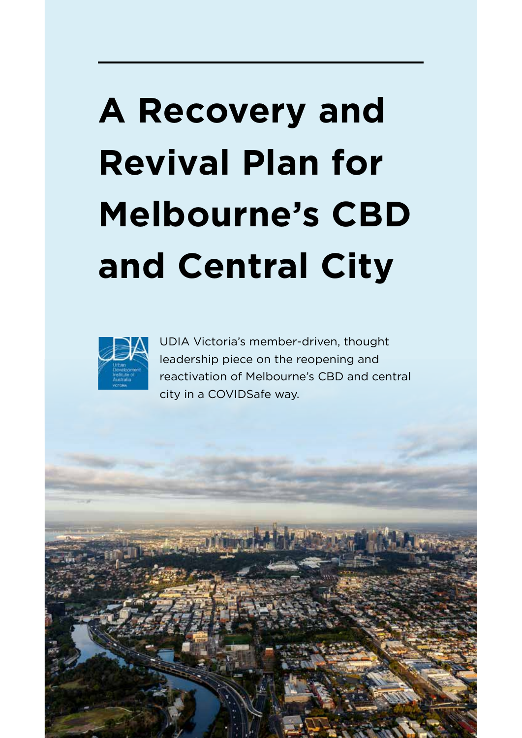### **A Recovery and Revival Plan for Melbourne's CBD and Central City**



UDIA Victoria's member-driven, thought leadership piece on the reopening and reactivation of Melbourne's CBD and central city in a COVIDSafe way.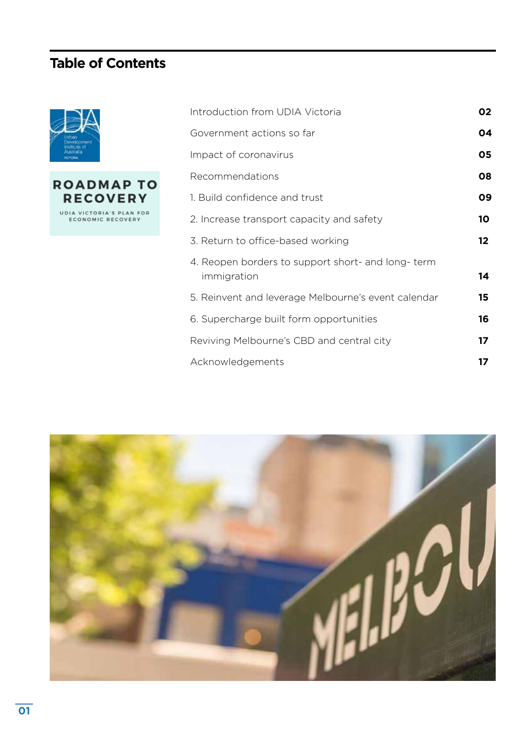#### **Table of Contents**





| Introduction from UDIA Victoria                                  | 02              |
|------------------------------------------------------------------|-----------------|
| Government actions so far                                        | 04              |
| Impact of coronavirus                                            | 05              |
| Recommendations                                                  | 08              |
| 1. Build confidence and trust                                    | 09              |
| 2. Increase transport capacity and safety                        | 10              |
| 3. Return to office-based working                                | 12 <sub>2</sub> |
| 4. Reopen borders to support short- and long-term<br>immigration | 14              |
| 5. Reinvent and leverage Melbourne's event calendar              | 15              |
| 6. Supercharge built form opportunities                          | 16              |
| Reviving Melbourne's CBD and central city                        | 17 <sup>2</sup> |
| Acknowledgements                                                 | 17              |
|                                                                  |                 |

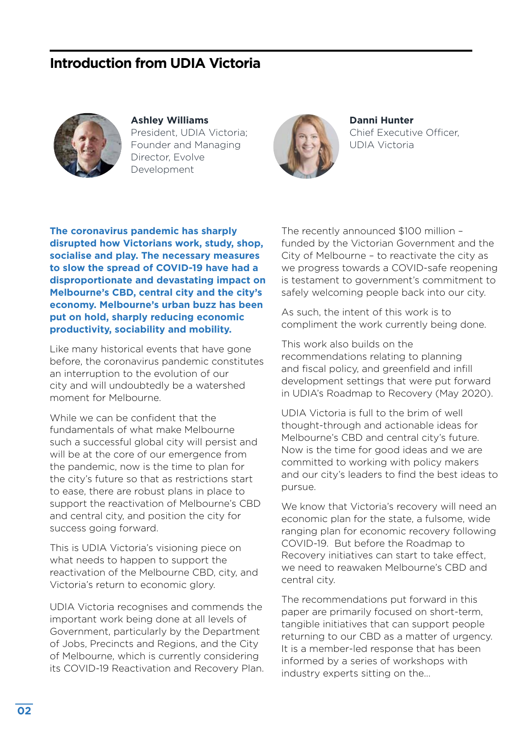#### **Introduction from UDIA Victoria**



**Ashley Williams**  President, UDIA Victoria; Founder and Managing Director, Evolve Development



**Danni Hunter**  Chief Executive Officer, UDIA Victoria

**The coronavirus pandemic has sharply disrupted how Victorians work, study, shop, socialise and play. The necessary measures to slow the spread of COVID-19 have had a disproportionate and devastating impact on Melbourne's CBD, central city and the city's economy. Melbourne's urban buzz has been put on hold, sharply reducing economic productivity, sociability and mobility.** 

Like many historical events that have gone before, the coronavirus pandemic constitutes an interruption to the evolution of our city and will undoubtedly be a watershed moment for Melbourne.

While we can be confident that the fundamentals of what make Melbourne such a successful global city will persist and will be at the core of our emergence from the pandemic, now is the time to plan for the city's future so that as restrictions start to ease, there are robust plans in place to support the reactivation of Melbourne's CBD and central city, and position the city for success going forward.

This is UDIA Victoria's visioning piece on what needs to happen to support the reactivation of the Melbourne CBD, city, and Victoria's return to economic glory.

UDIA Victoria recognises and commends the important work being done at all levels of Government, particularly by the Department of Jobs, Precincts and Regions, and the City of Melbourne, which is currently considering its COVID-19 Reactivation and Recovery Plan.

The recently announced \$100 million – funded by the Victorian Government and the City of Melbourne – to reactivate the city as we progress towards a COVID-safe reopening is testament to government's commitment to safely welcoming people back into our city.

As such, the intent of this work is to compliment the work currently being done.

This work also builds on the recommendations relating to planning and fiscal policy, and greenfield and infill development settings that were put forward in UDIA's Roadmap to Recovery (May 2020).

UDIA Victoria is full to the brim of well thought-through and actionable ideas for Melbourne's CBD and central city's future. Now is the time for good ideas and we are committed to working with policy makers and our city's leaders to find the best ideas to pursue.

We know that Victoria's recovery will need an economic plan for the state, a fulsome, wide ranging plan for economic recovery following COVID-19. But before the Roadmap to Recovery initiatives can start to take effect, we need to reawaken Melbourne's CBD and central city.

The recommendations put forward in this paper are primarily focused on short-term, tangible initiatives that can support people returning to our CBD as a matter of urgency. It is a member-led response that has been informed by a series of workshops with industry experts sitting on the...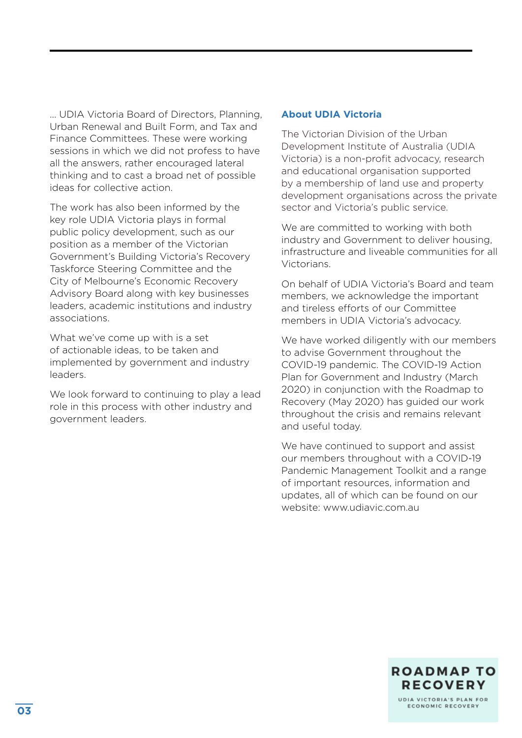... UDIA Victoria Board of Directors, Planning, Urban Renewal and Built Form, and Tax and Finance Committees. These were working sessions in which we did not profess to have all the answers, rather encouraged lateral thinking and to cast a broad net of possible ideas for collective action.

The work has also been informed by the key role UDIA Victoria plays in formal public policy development, such as our position as a member of the Victorian Government's Building Victoria's Recovery Taskforce Steering Committee and the City of Melbourne's Economic Recovery Advisory Board along with key businesses leaders, academic institutions and industry associations.

What we've come up with is a set of actionable ideas, to be taken and implemented by government and industry leaders.

We look forward to continuing to play a lead role in this process with other industry and government leaders.

#### **About UDIA Victoria**

The Victorian Division of the Urban Development Institute of Australia (UDIA Victoria) is a non-profit advocacy, research and educational organisation supported by a membership of land use and property development organisations across the private sector and Victoria's public service.

We are committed to working with both industry and Government to deliver housing, infrastructure and liveable communities for all Victorians.

On behalf of UDIA Victoria's Board and team members, we acknowledge the important and tireless efforts of our Committee members in UDIA Victoria's advocacy.

We have worked diligently with our members to advise Government throughout the COVID-19 pandemic. The COVID-19 Action Plan for Government and Industry (March 2020) in conjunction with the Roadmap to Recovery (May 2020) has guided our work throughout the crisis and remains relevant and useful today.

We have continued to support and assist our members throughout with a COVID-19 Pandemic Management Toolkit and a range of important resources, information and updates, all of which can be found on our website: www.udiavic.com.au

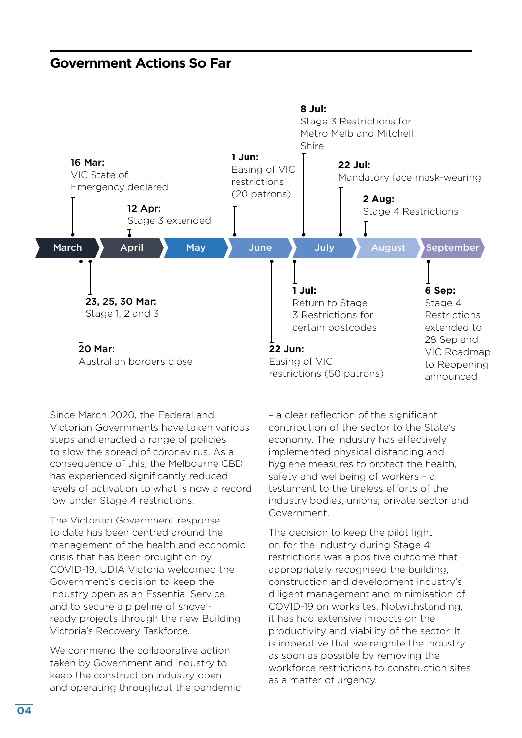#### **Government Actions So Far**



Since March 2020, the Federal and Victorian Governments have taken various steps and enacted a range of policies to slow the spread of coronavirus. As a consequence of this, the Melbourne CBD has experienced significantly reduced levels of activation to what is now a record low under Stage 4 restrictions.

The Victorian Government response to date has been centred around the management of the health and economic crisis that has been brought on by COVID-19. UDIA Victoria welcomed the Government's decision to keep the industry open as an Essential Service, and to secure a pipeline of shovelready projects through the new Building Victoria's Recovery Taskforce.

We commend the collaborative action taken by Government and industry to keep the construction industry open and operating throughout the pandemic

– a clear reflection of the significant contribution of the sector to the State's economy. The industry has effectively implemented physical distancing and hygiene measures to protect the health, safety and wellbeing of workers – a testament to the tireless efforts of the industry bodies, unions, private sector and Government.

The decision to keep the pilot light on for the industry during Stage 4 restrictions was a positive outcome that appropriately recognised the building, construction and development industry's diligent management and minimisation of COVID-19 on worksites. Notwithstanding, it has had extensive impacts on the productivity and viability of the sector. It is imperative that we reignite the industry as soon as possible by removing the workforce restrictions to construction sites as a matter of urgency.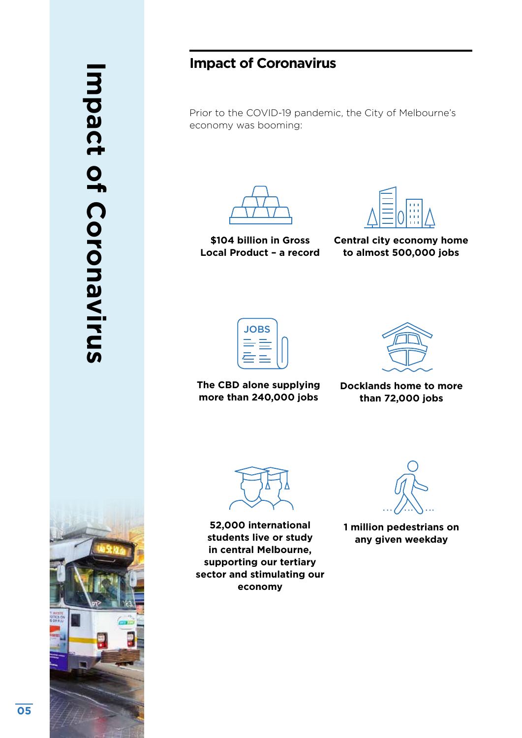# **Impact of Coronavirus** mpact of Coronavirus

#### **Impact of Coronavirus**

Prior to the COVID-19 pandemic, the City of Melbourne's economy was booming:



**\$104 billion in Gross Local Product – a record**



**Central city economy home to almost 500,000 jobs** 

| <b>JOBS</b> |  |
|-------------|--|
|             |  |
|             |  |

**The CBD alone supplying more than 240,000 jobs**



**Docklands home to more than 72,000 jobs** 

**52,000 international students live or study in central Melbourne, supporting our tertiary sector and stimulating our economy**

**1 million pedestrians on any given weekday**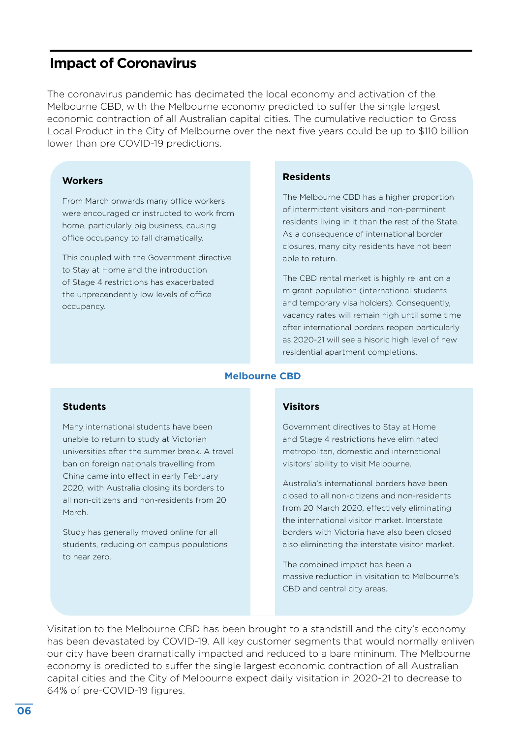#### **Impact of Coronavirus**

The coronavirus pandemic has decimated the local economy and activation of the Melbourne CBD, with the Melbourne economy predicted to suffer the single largest economic contraction of all Australian capital cities. The cumulative reduction to Gross Local Product in the City of Melbourne over the next five years could be up to \$110 billion lower than pre COVID-19 predictions.

#### **Workers**

From March onwards many office workers were encouraged or instructed to work from home, particularly big business, causing office occupancy to fall dramatically.

This coupled with the Government directive to Stay at Home and the introduction of Stage 4 restrictions has exacerbated the unprecendently low levels of office occupancy.

#### **Residents**

The Melbourne CBD has a higher proportion of intermittent visitors and non-perminent residents living in it than the rest of the State. As a consequence of international border closures, many city residents have not been able to return.

The CBD rental market is highly reliant on a migrant population (international students and temporary visa holders). Consequently, vacancy rates will remain high until some time after international borders reopen particularly as 2020-21 will see a hisoric high level of new residential apartment completions.

#### **Melbourne CBD**

#### **Students**

Many international students have been unable to return to study at Victorian universities after the summer break. A travel ban on foreign nationals travelling from China came into effect in early February 2020, with Australia closing its borders to all non-citizens and non-residents from 20 March.

Study has generally moved online for all students, reducing on campus populations to near zero.

#### **Visitors**

Government directives to Stay at Home and Stage 4 restrictions have eliminated metropolitan, domestic and international visitors' ability to visit Melbourne.

Australia's international borders have been closed to all non-citizens and non-residents from 20 March 2020, effectively eliminating the international visitor market. Interstate borders with Victoria have also been closed also eliminating the interstate visitor market.

The combined impact has been a massive reduction in visitation to Melbourne's CBD and central city areas.

Visitation to the Melbourne CBD has been brought to a standstill and the city's economy has been devastated by COVID-19. All key customer segments that would normally enliven our city have been dramatically impacted and reduced to a bare mininum. The Melbourne economy is predicted to suffer the single largest economic contraction of all Australian capital cities and the City of Melbourne expect daily visitation in 2020-21 to decrease to 64% of pre-COVID-19 figures.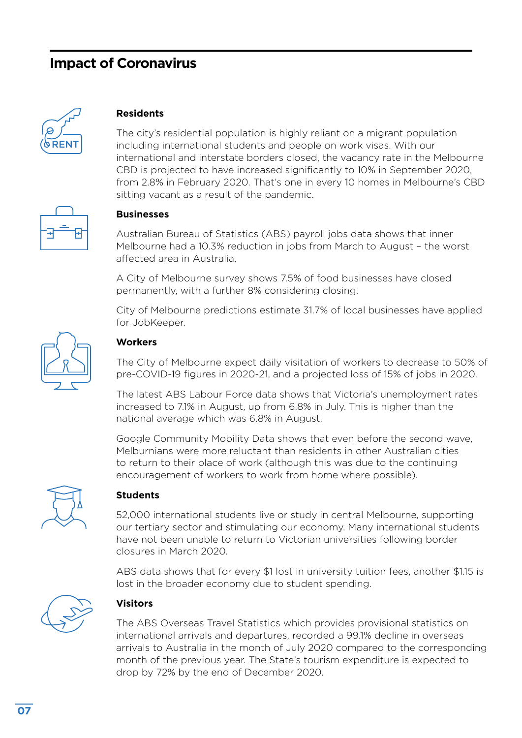#### **Impact of Coronavirus**



#### **Residents**

The city's residential population is highly reliant on a migrant population including international students and people on work visas. With our international and interstate borders closed, the vacancy rate in the Melbourne CBD is projected to have increased significantly to 10% in September 2020, from 2.8% in February 2020. That's one in every 10 homes in Melbourne's CBD sitting vacant as a result of the pandemic.



#### **Businesses**

Australian Bureau of Statistics (ABS) payroll jobs data shows that inner Melbourne had a 10.3% reduction in jobs from March to August – the worst affected area in Australia.

A City of Melbourne survey shows 7.5% of food businesses have closed permanently, with a further 8% considering closing.

City of Melbourne predictions estimate 31.7% of local businesses have applied for JobKeeper.



#### **Workers**

The City of Melbourne expect daily visitation of workers to decrease to 50% of pre-COVID-19 figures in 2020-21, and a projected loss of 15% of jobs in 2020.

The latest ABS Labour Force data shows that Victoria's unemployment rates increased to 7.1% in August, up from 6.8% in July. This is higher than the national average which was 6.8% in August.

Google Community Mobility Data shows that even before the second wave, Melburnians were more reluctant than residents in other Australian cities to return to their place of work (although this was due to the continuing encouragement of workers to work from home where possible).



#### **Students**

52,000 international students live or study in central Melbourne, supporting our tertiary sector and stimulating our economy. Many international students have not been unable to return to Victorian universities following border closures in March 2020.

ABS data shows that for every \$1 lost in university tuition fees, another \$1.15 is lost in the broader economy due to student spending.



#### **Visitors**

The ABS Overseas Travel Statistics which provides provisional statistics on international arrivals and departures, recorded a 99.1% decline in overseas arrivals to Australia in the month of July 2020 compared to the corresponding month of the previous year. The State's tourism expenditure is expected to drop by 72% by the end of December 2020.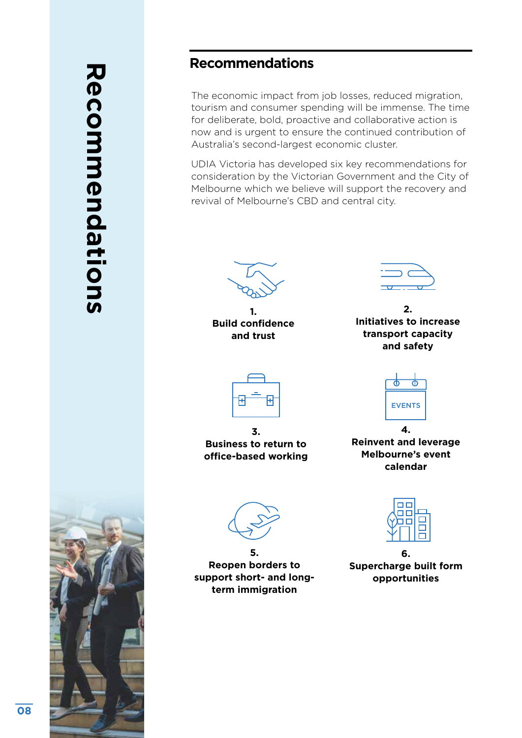## **Recommendations Recommendations**



#### **Recommendations**

The economic impact from job losses, reduced migration, tourism and consumer spending will be immense. The time for deliberate, bold, proactive and collaborative action is now and is urgent to ensure the continued contribution of Australia's second-largest economic cluster.

UDIA Victoria has developed six key recommendations for consideration by the Victorian Government and the City of Melbourne which we believe will support the recovery and revival of Melbourne's CBD and central city.

**1. Build confidence and trust**

**2. Initiatives to increase transport capacity and safety**



**3. Business to return to office-based working**



**4. Reinvent and leverage Melbourne's event calendar** 

**5. Reopen borders to support short- and longterm immigration**



**6. Supercharge built form opportunities** 

**08**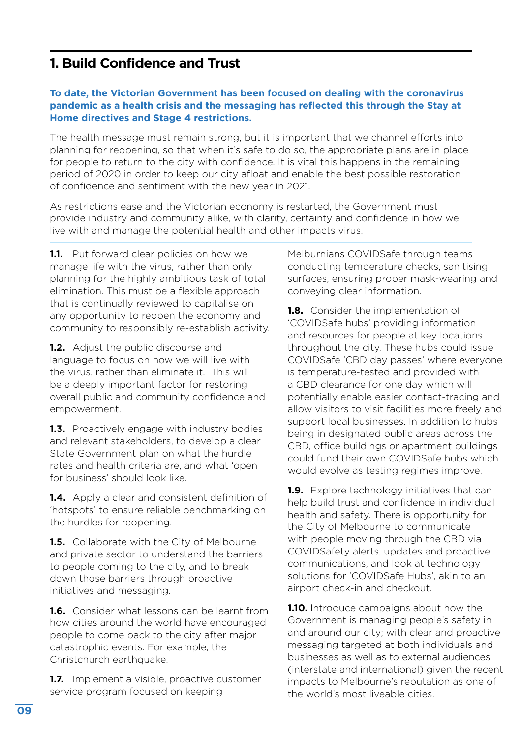#### **1. Build Confidence and Trust**

#### **To date, the Victorian Government has been focused on dealing with the coronavirus pandemic as a health crisis and the messaging has reflected this through the Stay at Home directives and Stage 4 restrictions.**

The health message must remain strong, but it is important that we channel efforts into planning for reopening, so that when it's safe to do so, the appropriate plans are in place for people to return to the city with confidence. It is vital this happens in the remaining period of 2020 in order to keep our city afloat and enable the best possible restoration of confidence and sentiment with the new year in 2021.

As restrictions ease and the Victorian economy is restarted, the Government must provide industry and community alike, with clarity, certainty and confidence in how we live with and manage the potential health and other impacts virus.

**1.1.** Put forward clear policies on how we manage life with the virus, rather than only planning for the highly ambitious task of total elimination. This must be a flexible approach that is continually reviewed to capitalise on any opportunity to reopen the economy and community to responsibly re-establish activity.

**1.2.** Adjust the public discourse and language to focus on how we will live with the virus, rather than eliminate it. This will be a deeply important factor for restoring overall public and community confidence and empowerment.

**1.3.** Proactively engage with industry bodies and relevant stakeholders, to develop a clear State Government plan on what the hurdle rates and health criteria are, and what 'open for business' should look like.

**1.4.** Apply a clear and consistent definition of 'hotspots' to ensure reliable benchmarking on the hurdles for reopening.

**1.5.** Collaborate with the City of Melbourne and private sector to understand the barriers to people coming to the city, and to break down those barriers through proactive initiatives and messaging.

**1.6.** Consider what lessons can be learnt from how cities around the world have encouraged people to come back to the city after major catastrophic events. For example, the Christchurch earthquake.

**1.7.** Implement a visible, proactive customer service program focused on keeping

Melburnians COVIDSafe through teams conducting temperature checks, sanitising surfaces, ensuring proper mask-wearing and conveying clear information.

**1.8.** Consider the implementation of 'COVIDSafe hubs' providing information and resources for people at key locations throughout the city. These hubs could issue COVIDSafe 'CBD day passes' where everyone is temperature-tested and provided with a CBD clearance for one day which will potentially enable easier contact-tracing and allow visitors to visit facilities more freely and support local businesses. In addition to hubs being in designated public areas across the CBD, office buildings or apartment buildings could fund their own COVIDSafe hubs which would evolve as testing regimes improve.

**1.9.** Explore technology initiatives that can help build trust and confidence in individual health and safety. There is opportunity for the City of Melbourne to communicate with people moving through the CBD via COVIDSafety alerts, updates and proactive communications, and look at technology solutions for 'COVIDSafe Hubs', akin to an airport check-in and checkout.

**1.10.** Introduce campaigns about how the Government is managing people's safety in and around our city; with clear and proactive messaging targeted at both individuals and businesses as well as to external audiences (interstate and international) given the recent impacts to Melbourne's reputation as one of the world's most liveable cities.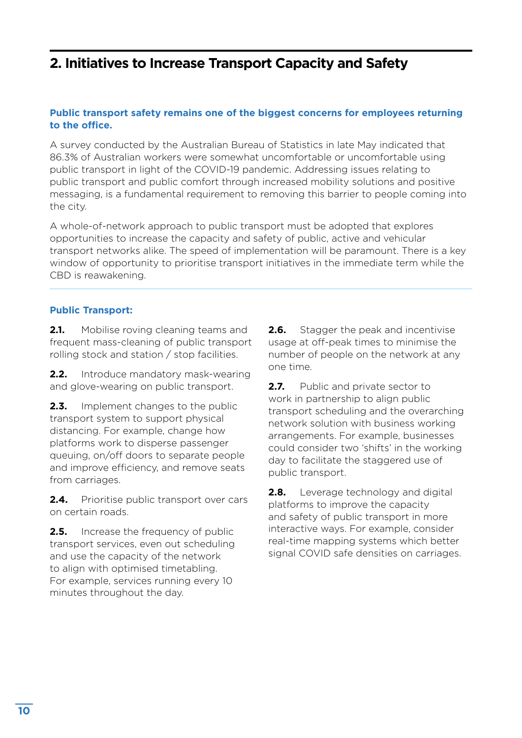#### **2. Initiatives to Increase Transport Capacity and Safety**

#### **Public transport safety remains one of the biggest concerns for employees returning to the office.**

A survey conducted by the Australian Bureau of Statistics in late May indicated that 86.3% of Australian workers were somewhat uncomfortable or uncomfortable using public transport in light of the COVID-19 pandemic. Addressing issues relating to public transport and public comfort through increased mobility solutions and positive messaging, is a fundamental requirement to removing this barrier to people coming into the city.

A whole-of-network approach to public transport must be adopted that explores opportunities to increase the capacity and safety of public, active and vehicular transport networks alike. The speed of implementation will be paramount. There is a key window of opportunity to prioritise transport initiatives in the immediate term while the CBD is reawakening.

#### **Public Transport:**

**2.1.** Mobilise roving cleaning teams and frequent mass-cleaning of public transport rolling stock and station / stop facilities.

**2.2.** Introduce mandatory mask-wearing and glove-wearing on public transport.

**2.3.** Implement changes to the public transport system to support physical distancing. For example, change how platforms work to disperse passenger queuing, on/off doors to separate people and improve efficiency, and remove seats from carriages.

**2.4.** Prioritise public transport over cars on certain roads.

**2.5.** Increase the frequency of public transport services, even out scheduling and use the capacity of the network to align with optimised timetabling. For example, services running every 10 minutes throughout the day.

**2.6.** Stagger the peak and incentivise usage at off-peak times to minimise the number of people on the network at any one time.

**2.7.** Public and private sector to work in partnership to align public transport scheduling and the overarching network solution with business working arrangements. For example, businesses could consider two 'shifts' in the working day to facilitate the staggered use of public transport.

**2.8.** Leverage technology and digital platforms to improve the capacity and safety of public transport in more interactive ways. For example, consider real-time mapping systems which better signal COVID safe densities on carriages.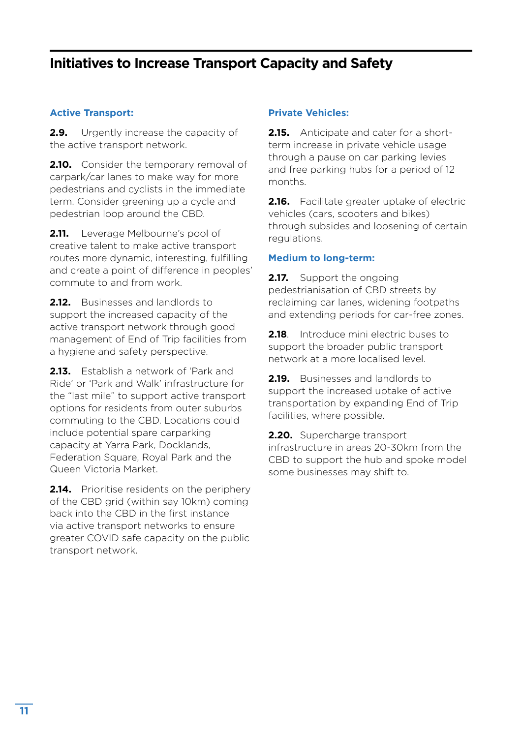#### **Initiatives to Increase Transport Capacity and Safety**

#### **Active Transport:**

**2.9.** Urgently increase the capacity of the active transport network.

**2.10.** Consider the temporary removal of carpark/car lanes to make way for more pedestrians and cyclists in the immediate term. Consider greening up a cycle and pedestrian loop around the CBD.

**2.11.** Leverage Melbourne's pool of creative talent to make active transport routes more dynamic, interesting, fulfilling and create a point of difference in peoples' commute to and from work.

**2.12.** Businesses and landlords to support the increased capacity of the active transport network through good management of End of Trip facilities from a hygiene and safety perspective.

**2.13.** Establish a network of 'Park and Ride' or 'Park and Walk' infrastructure for the "last mile" to support active transport options for residents from outer suburbs commuting to the CBD. Locations could include potential spare carparking capacity at Yarra Park, Docklands, Federation Square, Royal Park and the Queen Victoria Market.

**2.14.** Prioritise residents on the periphery of the CBD grid (within say 10km) coming back into the CBD in the first instance via active transport networks to ensure greater COVID safe capacity on the public transport network.

#### **Private Vehicles:**

**2.15.** Anticipate and cater for a shortterm increase in private vehicle usage through a pause on car parking levies and free parking hubs for a period of 12 months.

**2.16.** Facilitate greater uptake of electric vehicles (cars, scooters and bikes) through subsides and loosening of certain regulations.

#### **Medium to long-term:**

**2.17.** Support the ongoing pedestrianisation of CBD streets by reclaiming car lanes, widening footpaths and extending periods for car-free zones.

**2.18**. Introduce mini electric buses to support the broader public transport network at a more localised level.

**2.19.** Businesses and landlords to support the increased uptake of active transportation by expanding End of Trip facilities, where possible.

**2.20.** Supercharge transport infrastructure in areas 20-30km from the CBD to support the hub and spoke model some businesses may shift to.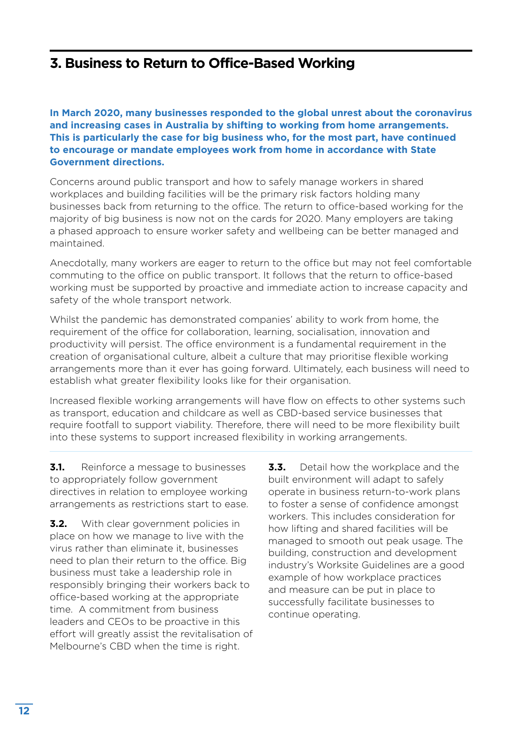#### **3. Business to Return to Office-Based Working**

**In March 2020, many businesses responded to the global unrest about the coronavirus and increasing cases in Australia by shifting to working from home arrangements. This is particularly the case for big business who, for the most part, have continued to encourage or mandate employees work from home in accordance with State Government directions.** 

Concerns around public transport and how to safely manage workers in shared workplaces and building facilities will be the primary risk factors holding many businesses back from returning to the office. The return to office-based working for the majority of big business is now not on the cards for 2020. Many employers are taking a phased approach to ensure worker safety and wellbeing can be better managed and maintained.

Anecdotally, many workers are eager to return to the office but may not feel comfortable commuting to the office on public transport. It follows that the return to office-based working must be supported by proactive and immediate action to increase capacity and safety of the whole transport network.

Whilst the pandemic has demonstrated companies' ability to work from home, the requirement of the office for collaboration, learning, socialisation, innovation and productivity will persist. The office environment is a fundamental requirement in the creation of organisational culture, albeit a culture that may prioritise flexible working arrangements more than it ever has going forward. Ultimately, each business will need to establish what greater flexibility looks like for their organisation.

Increased flexible working arrangements will have flow on effects to other systems such as transport, education and childcare as well as CBD-based service businesses that require footfall to support viability. Therefore, there will need to be more flexibility built into these systems to support increased flexibility in working arrangements.

**3.1.** Reinforce a message to businesses to appropriately follow government directives in relation to employee working arrangements as restrictions start to ease.

**3.2.** With clear government policies in place on how we manage to live with the virus rather than eliminate it, businesses need to plan their return to the office. Big business must take a leadership role in responsibly bringing their workers back to office-based working at the appropriate time. A commitment from business leaders and CEOs to be proactive in this effort will greatly assist the revitalisation of Melbourne's CBD when the time is right.

**3.3.** Detail how the workplace and the built environment will adapt to safely operate in business return-to-work plans to foster a sense of confidence amongst workers. This includes consideration for how lifting and shared facilities will be managed to smooth out peak usage. The building, construction and development industry's Worksite Guidelines are a good example of how workplace practices and measure can be put in place to successfully facilitate businesses to continue operating.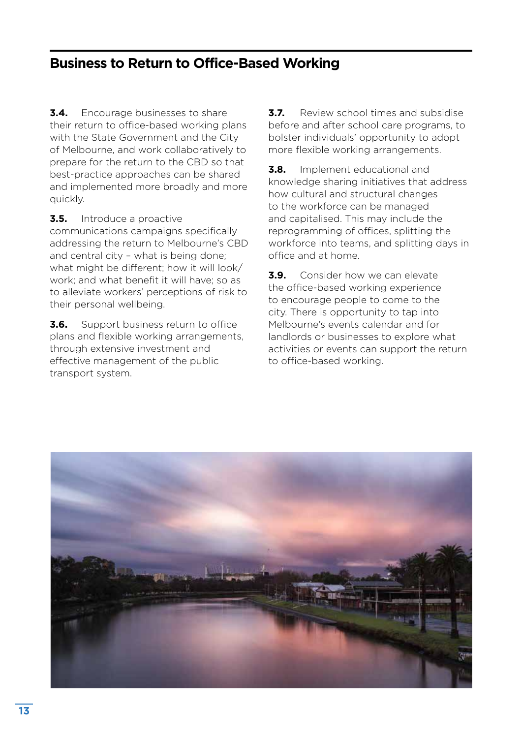#### **Business to Return to Office-Based Working**

**3.4.** Encourage businesses to share their return to office-based working plans with the State Government and the City of Melbourne, and work collaboratively to prepare for the return to the CBD so that best-practice approaches can be shared and implemented more broadly and more quickly.

**3.5.** Introduce a proactive

communications campaigns specifically addressing the return to Melbourne's CBD and central city – what is being done; what might be different; how it will look/ work; and what benefit it will have; so as to alleviate workers' perceptions of risk to their personal wellbeing.

**3.6.** Support business return to office plans and flexible working arrangements, through extensive investment and effective management of the public transport system.

**3.7.** Review school times and subsidise before and after school care programs, to bolster individuals' opportunity to adopt more flexible working arrangements.

**3.8.** Implement educational and knowledge sharing initiatives that address how cultural and structural changes to the workforce can be managed and capitalised. This may include the reprogramming of offices, splitting the workforce into teams, and splitting days in office and at home.

**3.9.** Consider how we can elevate the office-based working experience to encourage people to come to the city. There is opportunity to tap into Melbourne's events calendar and for landlords or businesses to explore what activities or events can support the return to office-based working.

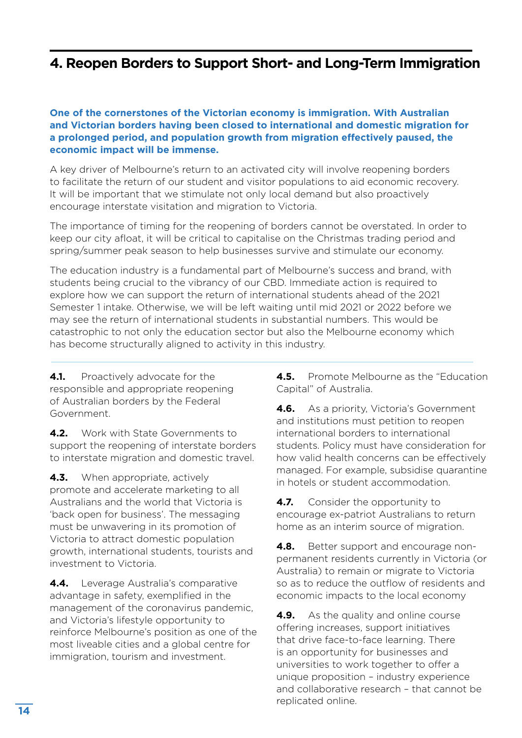#### **4. Reopen Borders to Support Short- and Long-Term Immigration**

#### **One of the cornerstones of the Victorian economy is immigration. With Australian and Victorian borders having been closed to international and domestic migration for a prolonged period, and population growth from migration effectively paused, the economic impact will be immense.**

A key driver of Melbourne's return to an activated city will involve reopening borders to facilitate the return of our student and visitor populations to aid economic recovery. It will be important that we stimulate not only local demand but also proactively encourage interstate visitation and migration to Victoria.

The importance of timing for the reopening of borders cannot be overstated. In order to keep our city afloat, it will be critical to capitalise on the Christmas trading period and spring/summer peak season to help businesses survive and stimulate our economy.

The education industry is a fundamental part of Melbourne's success and brand, with students being crucial to the vibrancy of our CBD. Immediate action is required to explore how we can support the return of international students ahead of the 2021 Semester 1 intake. Otherwise, we will be left waiting until mid 2021 or 2022 before we may see the return of international students in substantial numbers. This would be catastrophic to not only the education sector but also the Melbourne economy which has become structurally aligned to activity in this industry.

**4.1.** Proactively advocate for the responsible and appropriate reopening of Australian borders by the Federal Government.

**4.2.** Work with State Governments to support the reopening of interstate borders to interstate migration and domestic travel.

**4.3.** When appropriate, actively promote and accelerate marketing to all Australians and the world that Victoria is 'back open for business'. The messaging must be unwavering in its promotion of Victoria to attract domestic population growth, international students, tourists and investment to Victoria.

**4.4.** Leverage Australia's comparative advantage in safety, exemplified in the management of the coronavirus pandemic, and Victoria's lifestyle opportunity to reinforce Melbourne's position as one of the most liveable cities and a global centre for immigration, tourism and investment.

**4.5.** Promote Melbourne as the "Education Capital" of Australia.

**4.6.** As a priority, Victoria's Government and institutions must petition to reopen international borders to international students. Policy must have consideration for how valid health concerns can be effectively managed. For example, subsidise quarantine in hotels or student accommodation.

**4.7.** Consider the opportunity to encourage ex-patriot Australians to return home as an interim source of migration.

**4.8.** Better support and encourage nonpermanent residents currently in Victoria (or Australia) to remain or migrate to Victoria so as to reduce the outflow of residents and economic impacts to the local economy

**4.9.** As the quality and online course offering increases, support initiatives that drive face-to-face learning. There is an opportunity for businesses and universities to work together to offer a unique proposition – industry experience and collaborative research – that cannot be replicated online.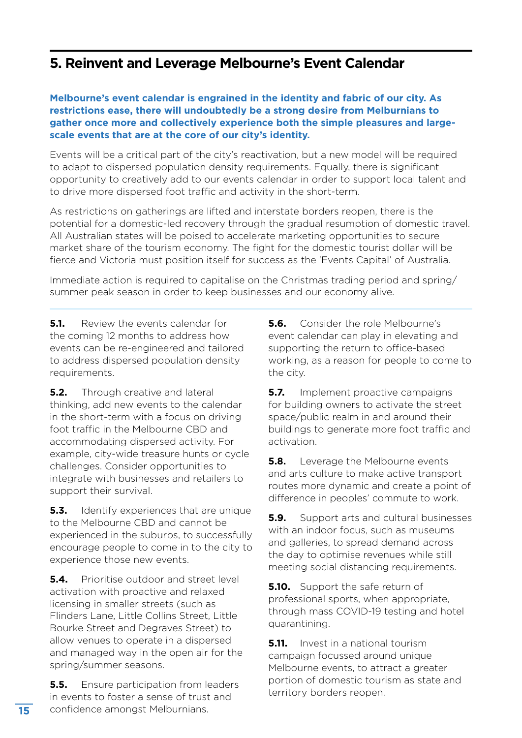#### **5. Reinvent and Leverage Melbourne's Event Calendar**

#### **Melbourne's event calendar is engrained in the identity and fabric of our city. As restrictions ease, there will undoubtedly be a strong desire from Melburnians to gather once more and collectively experience both the simple pleasures and largescale events that are at the core of our city's identity.**

Events will be a critical part of the city's reactivation, but a new model will be required to adapt to dispersed population density requirements. Equally, there is significant opportunity to creatively add to our events calendar in order to support local talent and to drive more dispersed foot traffic and activity in the short-term.

As restrictions on gatherings are lifted and interstate borders reopen, there is the potential for a domestic-led recovery through the gradual resumption of domestic travel. All Australian states will be poised to accelerate marketing opportunities to secure market share of the tourism economy. The fight for the domestic tourist dollar will be fierce and Victoria must position itself for success as the 'Events Capital' of Australia.

Immediate action is required to capitalise on the Christmas trading period and spring/ summer peak season in order to keep businesses and our economy alive.

**5.1.** Review the events calendar for the coming 12 months to address how events can be re-engineered and tailored to address dispersed population density requirements.

**5.2.** Through creative and lateral thinking, add new events to the calendar in the short-term with a focus on driving foot traffic in the Melbourne CBD and accommodating dispersed activity. For example, city-wide treasure hunts or cycle challenges. Consider opportunities to integrate with businesses and retailers to support their survival.

**5.3.** Identify experiences that are unique to the Melbourne CBD and cannot be experienced in the suburbs, to successfully encourage people to come in to the city to experience those new events.

**5.4.** Prioritise outdoor and street level activation with proactive and relaxed licensing in smaller streets (such as Flinders Lane, Little Collins Street, Little Bourke Street and Degraves Street) to allow venues to operate in a dispersed and managed way in the open air for the spring/summer seasons.

**5.5.** Ensure participation from leaders in events to foster a sense of trust and confidence amongst Melburnians.

**5.6.** Consider the role Melbourne's event calendar can play in elevating and supporting the return to office-based working, as a reason for people to come to the city.

**5.7.** Implement proactive campaigns for building owners to activate the street space/public realm in and around their buildings to generate more foot traffic and activation.

**5.8.** Leverage the Melbourne events and arts culture to make active transport routes more dynamic and create a point of difference in peoples' commute to work.

**5.9.** Support arts and cultural businesses with an indoor focus, such as museums and galleries, to spread demand across the day to optimise revenues while still meeting social distancing requirements.

**5.10.** Support the safe return of professional sports, when appropriate, through mass COVID-19 testing and hotel quarantining.

**5.11.** Invest in a national tourism campaign focussed around unique Melbourne events, to attract a greater portion of domestic tourism as state and territory borders reopen.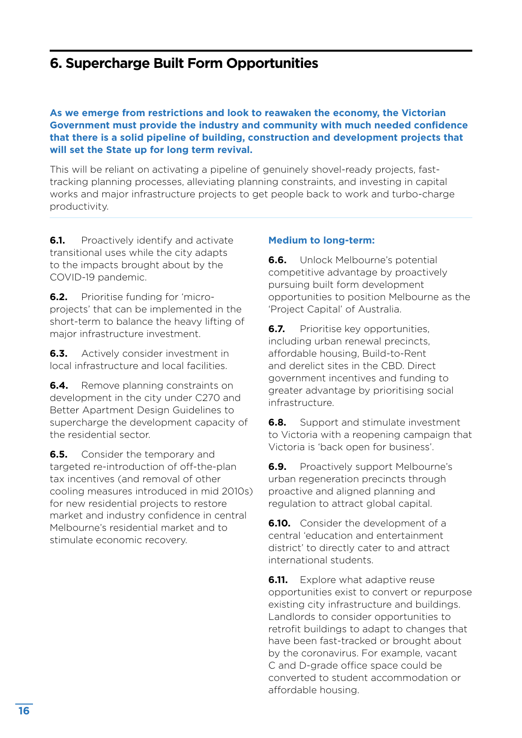#### **6. Supercharge Built Form Opportunities**

**As we emerge from restrictions and look to reawaken the economy, the Victorian Government must provide the industry and community with much needed confidence that there is a solid pipeline of building, construction and development projects that will set the State up for long term revival.** 

This will be reliant on activating a pipeline of genuinely shovel-ready projects, fasttracking planning processes, alleviating planning constraints, and investing in capital works and major infrastructure projects to get people back to work and turbo-charge productivity.

**6.1.** Proactively identify and activate transitional uses while the city adapts to the impacts brought about by the COVID-19 pandemic.

**6.2.** Prioritise funding for 'microprojects' that can be implemented in the short-term to balance the heavy lifting of major infrastructure investment.

**6.3.** Actively consider investment in local infrastructure and local facilities.

**6.4.** Remove planning constraints on development in the city under C270 and Better Apartment Design Guidelines to supercharge the development capacity of the residential sector.

**6.5.** Consider the temporary and targeted re-introduction of off-the-plan tax incentives (and removal of other cooling measures introduced in mid 2010s) for new residential projects to restore market and industry confidence in central Melbourne's residential market and to stimulate economic recovery.

#### **Medium to long-term:**

**6.6.** Unlock Melbourne's potential competitive advantage by proactively pursuing built form development opportunities to position Melbourne as the 'Project Capital' of Australia.

**6.7.** Prioritise key opportunities, including urban renewal precincts, affordable housing, Build-to-Rent and derelict sites in the CBD. Direct government incentives and funding to greater advantage by prioritising social infrastructure.

**6.8.** Support and stimulate investment to Victoria with a reopening campaign that Victoria is 'back open for business'.

**6.9.** Proactively support Melbourne's urban regeneration precincts through proactive and aligned planning and regulation to attract global capital.

**6.10.** Consider the development of a central 'education and entertainment district' to directly cater to and attract international students.

**6.11.** Explore what adaptive reuse opportunities exist to convert or repurpose existing city infrastructure and buildings. Landlords to consider opportunities to retrofit buildings to adapt to changes that have been fast-tracked or brought about by the coronavirus. For example, vacant C and D-grade office space could be converted to student accommodation or affordable housing.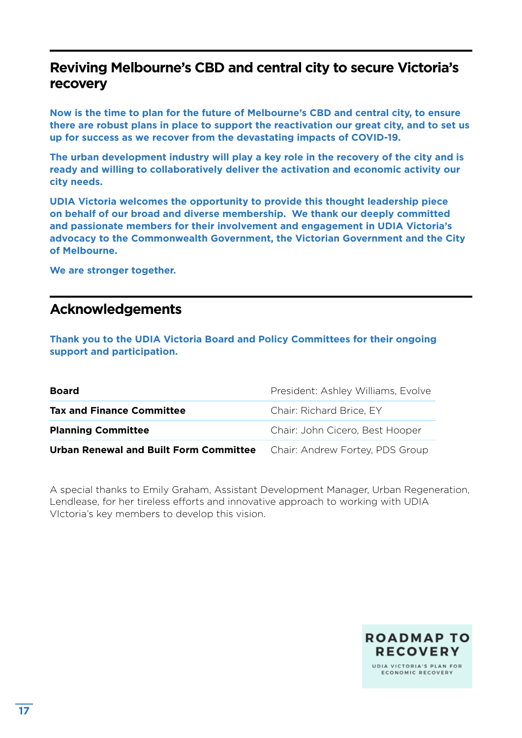#### **Reviving Melbourne's CBD and central city to secure Victoria's recovery**

**Now is the time to plan for the future of Melbourne's CBD and central city, to ensure there are robust plans in place to support the reactivation our great city, and to set us up for success as we recover from the devastating impacts of COVID-19.** 

**The urban development industry will play a key role in the recovery of the city and is ready and willing to collaboratively deliver the activation and economic activity our city needs.**

**UDIA Victoria welcomes the opportunity to provide this thought leadership piece on behalf of our broad and diverse membership. We thank our deeply committed and passionate members for their involvement and engagement in UDIA Victoria's advocacy to the Commonwealth Government, the Victorian Government and the City of Melbourne.** 

**We are stronger together.** 

#### **Acknowledgements**

**Thank you to the UDIA Victoria Board and Policy Committees for their ongoing support and participation.** 

| <b>Board</b>                                  | President: Ashley Williams, Evolve |
|-----------------------------------------------|------------------------------------|
| <b>Tax and Finance Committee</b>              | Chair: Richard Brice, EY           |
| <b>Planning Committee</b>                     | Chair: John Cicero, Best Hooper    |
| <b>Urban Renewal and Built Form Committee</b> | Chair: Andrew Fortey, PDS Group    |

A special thanks to Emily Graham, Assistant Development Manager, Urban Regeneration, Lendlease, for her tireless efforts and innovative approach to working with UDIA VIctoria's key members to develop this vision.